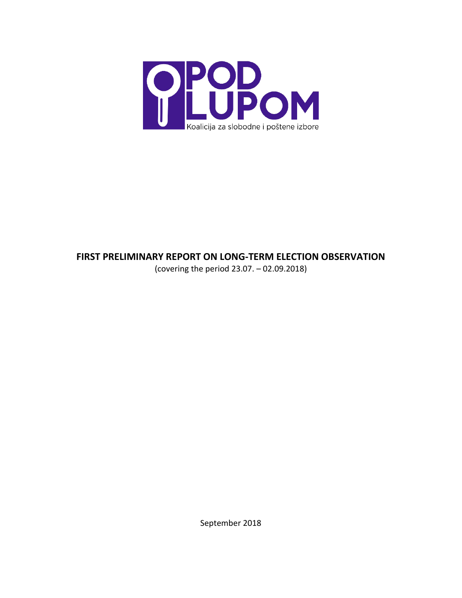

# **FIRST PRELIMINARY REPORT ON LONG-TERM ELECTION OBSERVATION**

(covering the period 23.07. – 02.09.2018)

September 2018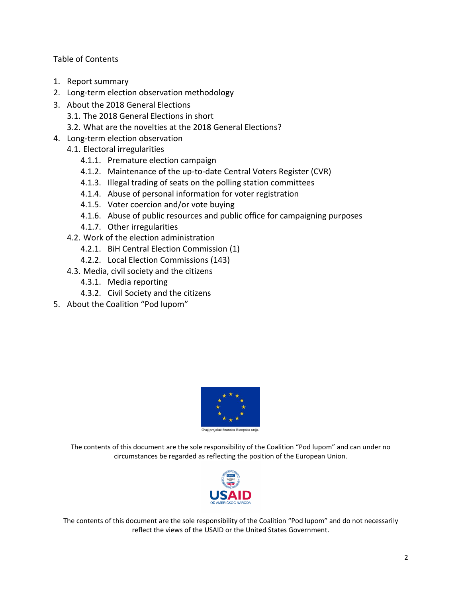Table of Contents

- 1. Report summary
- 2. Long-term election observation methodology
- 3. About the 2018 General Elections 3.1. The 2018 General Elections in short
	- 3.2. What are the novelties at the 2018 General Elections?
- 4. Long-term election observation
	- 4.1. Electoral irregularities
		- 4.1.1. Premature election campaign
		- 4.1.2. Maintenance of the up-to-date Central Voters Register (CVR)
		- 4.1.3. Illegal trading of seats on the polling station committees
		- 4.1.4. Abuse of personal information for voter registration
		- 4.1.5. Voter coercion and/or vote buying
		- 4.1.6. Abuse of public resources and public office for campaigning purposes
		- 4.1.7. Other irregularities
	- 4.2. Work of the election administration
		- 4.2.1. BiH Central Election Commission (1)
		- 4.2.2. Local Election Commissions (143)
	- 4.3. Media, civil society and the citizens
		- 4.3.1. Media reporting
		- 4.3.2. Civil Society and the citizens
- 5. About the Coalition "Pod lupom"



The contents of this document are the sole responsibility of the Coalition "Pod lupom" and can under no circumstances be regarded as reflecting the position of the European Union.



The contents of this document are the sole responsibility of the Coalition "Pod lupom" and do not necessarily reflect the views of the USAID or the United States Government.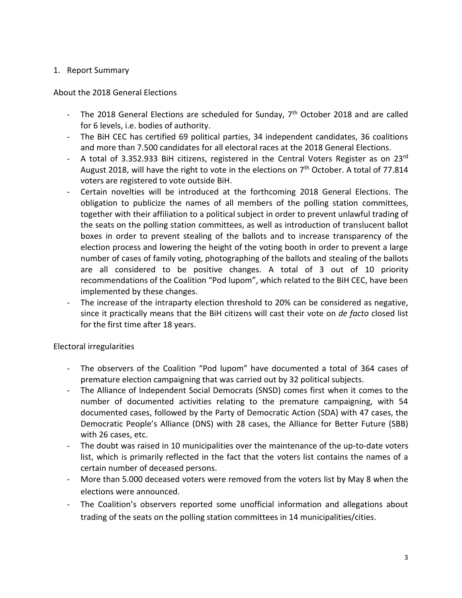#### 1. Report Summary

#### About the 2018 General Elections

- The 2018 General Elections are scheduled for Sunday, 7<sup>th</sup> October 2018 and are called for 6 levels, i.e. bodies of authority.
- The BiH CEC has certified 69 political parties, 34 independent candidates, 36 coalitions and more than 7.500 candidates for all electoral races at the 2018 General Elections.
- A total of 3.352.933 BiH citizens, registered in the Central Voters Register as on 23rd August 2018, will have the right to vote in the elections on  $7<sup>th</sup>$  October. A total of 77.814 voters are registered to vote outside BiH.
- Certain novelties will be introduced at the forthcoming 2018 General Elections. The obligation to publicize the names of all members of the polling station committees, together with their affiliation to a political subject in order to prevent unlawful trading of the seats on the polling station committees, as well as introduction of translucent ballot boxes in order to prevent stealing of the ballots and to increase transparency of the election process and lowering the height of the voting booth in order to prevent a large number of cases of family voting, photographing of the ballots and stealing of the ballots are all considered to be positive changes. A total of 3 out of 10 priority recommendations of the Coalition "Pod lupom", which related to the BiH CEC, have been implemented by these changes.
- The increase of the intraparty election threshold to 20% can be considered as negative, since it practically means that the BiH citizens will cast their vote on *de facto* closed list for the first time after 18 years.

#### Electoral irregularities

- The observers of the Coalition "Pod lupom" have documented a total of 364 cases of premature election campaigning that was carried out by 32 political subjects.
- The Alliance of Independent Social Democrats (SNSD) comes first when it comes to the number of documented activities relating to the premature campaigning, with 54 documented cases, followed by the Party of Democratic Action (SDA) with 47 cases, the Democratic People's Alliance (DNS) with 28 cases, the Alliance for Better Future (SBB) with 26 cases, etc.
- The doubt was raised in 10 municipalities over the maintenance of the up-to-date voters list, which is primarily reflected in the fact that the voters list contains the names of a certain number of deceased persons.
- More than 5.000 deceased voters were removed from the voters list by May 8 when the elections were announced.
- The Coalition's observers reported some unofficial information and allegations about trading of the seats on the polling station committees in 14 municipalities/cities.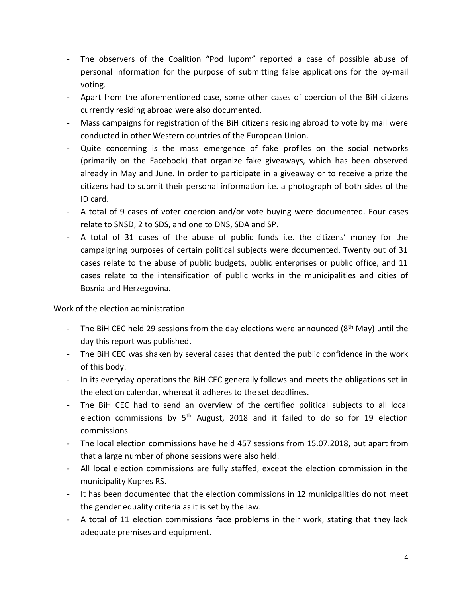- The observers of the Coalition "Pod lupom" reported a case of possible abuse of personal information for the purpose of submitting false applications for the by-mail voting.
- Apart from the aforementioned case, some other cases of coercion of the BiH citizens currently residing abroad were also documented.
- Mass campaigns for registration of the BiH citizens residing abroad to vote by mail were conducted in other Western countries of the European Union.
- Quite concerning is the mass emergence of fake profiles on the social networks (primarily on the Facebook) that organize fake giveaways, which has been observed already in May and June. In order to participate in a giveaway or to receive a prize the citizens had to submit their personal information i.e. a photograph of both sides of the ID card.
- A total of 9 cases of voter coercion and/or vote buying were documented. Four cases relate to SNSD, 2 to SDS, and one to DNS, SDA and SP.
- A total of 31 cases of the abuse of public funds i.e. the citizens' money for the campaigning purposes of certain political subjects were documented. Twenty out of 31 cases relate to the abuse of public budgets, public enterprises or public office, and 11 cases relate to the intensification of public works in the municipalities and cities of Bosnia and Herzegovina.

Work of the election administration

- The BiH CEC held 29 sessions from the day elections were announced ( $8<sup>th</sup>$  May) until the day this report was published.
- The BiH CEC was shaken by several cases that dented the public confidence in the work of this body.
- In its everyday operations the BiH CEC generally follows and meets the obligations set in the election calendar, whereat it adheres to the set deadlines.
- The BiH CEC had to send an overview of the certified political subjects to all local election commissions by 5<sup>th</sup> August, 2018 and it failed to do so for 19 election commissions.
- The local election commissions have held 457 sessions from 15.07.2018, but apart from that a large number of phone sessions were also held.
- All local election commissions are fully staffed, except the election commission in the municipality Kupres RS.
- It has been documented that the election commissions in 12 municipalities do not meet the gender equality criteria as it is set by the law.
- A total of 11 election commissions face problems in their work, stating that they lack adequate premises and equipment.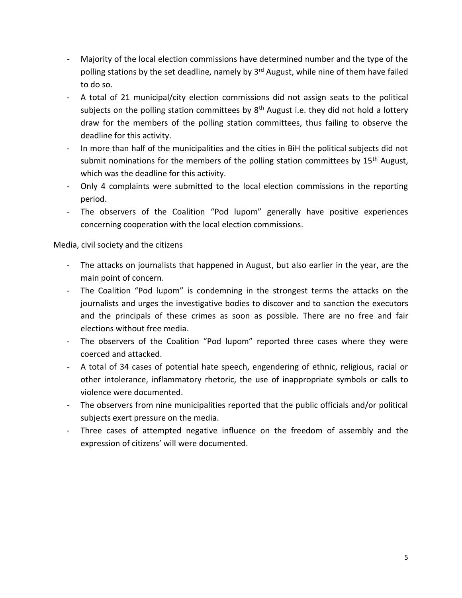- Majority of the local election commissions have determined number and the type of the polling stations by the set deadline, namely by 3<sup>rd</sup> August, while nine of them have failed to do so.
- A total of 21 municipal/city election commissions did not assign seats to the political subjects on the polling station committees by  $8<sup>th</sup>$  August i.e. they did not hold a lottery draw for the members of the polling station committees, thus failing to observe the deadline for this activity.
- In more than half of the municipalities and the cities in BiH the political subjects did not submit nominations for the members of the polling station committees by  $15<sup>th</sup>$  August, which was the deadline for this activity.
- Only 4 complaints were submitted to the local election commissions in the reporting period.
- The observers of the Coalition "Pod lupom" generally have positive experiences concerning cooperation with the local election commissions.

Media, civil society and the citizens

- The attacks on journalists that happened in August, but also earlier in the year, are the main point of concern.
- The Coalition "Pod lupom" is condemning in the strongest terms the attacks on the journalists and urges the investigative bodies to discover and to sanction the executors and the principals of these crimes as soon as possible. There are no free and fair elections without free media.
- The observers of the Coalition "Pod lupom" reported three cases where they were coerced and attacked.
- A total of 34 cases of potential hate speech, engendering of ethnic, religious, racial or other intolerance, inflammatory rhetoric, the use of inappropriate symbols or calls to violence were documented.
- The observers from nine municipalities reported that the public officials and/or political subjects exert pressure on the media.
- Three cases of attempted negative influence on the freedom of assembly and the expression of citizens' will were documented.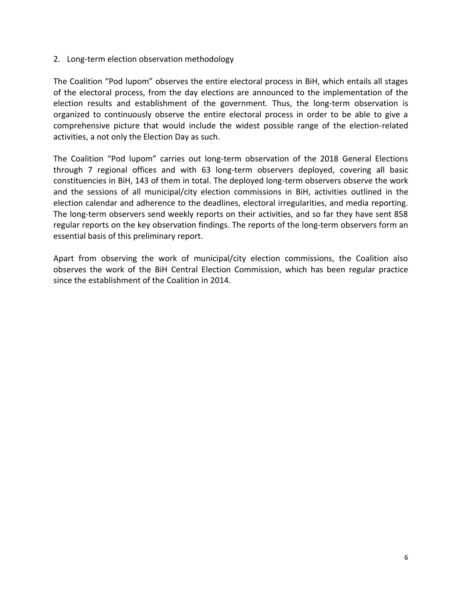#### 2. Long-term election observation methodology

The Coalition "Pod lupom" observes the entire electoral process in BiH, which entails all stages of the electoral process, from the day elections are announced to the implementation of the election results and establishment of the government. Thus, the long-term observation is organized to continuously observe the entire electoral process in order to be able to give a comprehensive picture that would include the widest possible range of the election-related activities, a not only the Election Day as such.

The Coalition "Pod lupom" carries out long-term observation of the 2018 General Elections through 7 regional offices and with 63 long-term observers deployed, covering all basic constituencies in BiH, 143 of them in total. The deployed long-term observers observe the work and the sessions of all municipal/city election commissions in BiH, activities outlined in the election calendar and adherence to the deadlines, electoral irregularities, and media reporting. The long-term observers send weekly reports on their activities, and so far they have sent 858 regular reports on the key observation findings. The reports of the long-term observers form an essential basis of this preliminary report.

Apart from observing the work of municipal/city election commissions, the Coalition also observes the work of the BiH Central Election Commission, which has been regular practice since the establishment of the Coalition in 2014.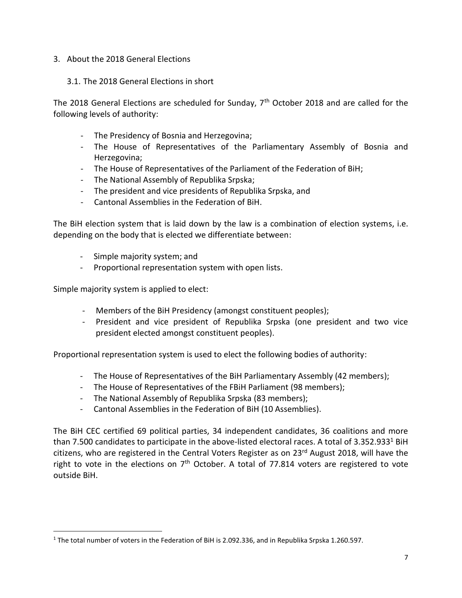#### 3. About the 2018 General Elections

#### 3.1. The 2018 General Elections in short

The 2018 General Elections are scheduled for Sunday,  $7<sup>th</sup>$  October 2018 and are called for the following levels of authority:

- The Presidency of Bosnia and Herzegovina;
- The House of Representatives of the Parliamentary Assembly of Bosnia and Herzegovina;
- The House of Representatives of the Parliament of the Federation of BiH;
- The National Assembly of Republika Srpska;
- The president and vice presidents of Republika Srpska, and
- Cantonal Assemblies in the Federation of BiH.

The BiH election system that is laid down by the law is a combination of election systems, i.e. depending on the body that is elected we differentiate between:

- Simple majority system; and
- Proportional representation system with open lists.

Simple majority system is applied to elect:

 $\overline{a}$ 

- Members of the BiH Presidency (amongst constituent peoples);
- President and vice president of Republika Srpska (one president and two vice president elected amongst constituent peoples).

Proportional representation system is used to elect the following bodies of authority:

- The House of Representatives of the BiH Parliamentary Assembly (42 members);
- The House of Representatives of the FBiH Parliament (98 members);
- The National Assembly of Republika Srpska (83 members);
- Cantonal Assemblies in the Federation of BiH (10 Assemblies).

The BiH CEC certified 69 political parties, 34 independent candidates, 36 coalitions and more than 7.500 candidates to participate in the above-listed electoral races. A total of 3.352.933<sup>1</sup> BiH citizens, who are registered in the Central Voters Register as on 23<sup>rd</sup> August 2018, will have the right to vote in the elections on  $7<sup>th</sup>$  October. A total of 77.814 voters are registered to vote outside BiH.

<sup>1</sup> The total number of voters in the Federation of BiH is 2.092.336, and in Republika Srpska 1.260.597.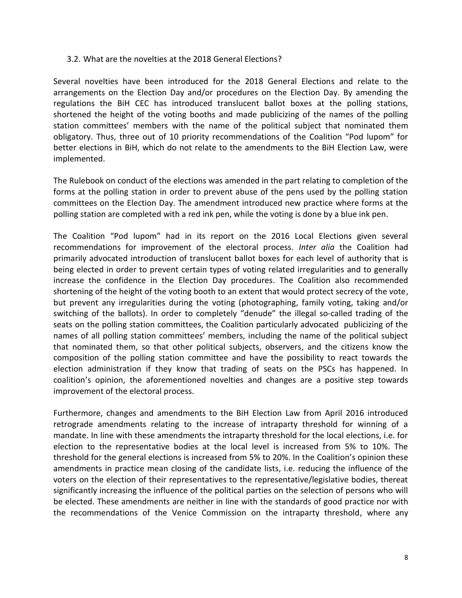#### 3.2. What are the novelties at the 2018 General Elections?

Several novelties have been introduced for the 2018 General Elections and relate to the arrangements on the Election Day and/or procedures on the Election Day. By amending the regulations the BiH CEC has introduced translucent ballot boxes at the polling stations, shortened the height of the voting booths and made publicizing of the names of the polling station committees' members with the name of the political subject that nominated them obligatory. Thus, three out of 10 priority recommendations of the Coalition "Pod lupom" for better elections in BiH, which do not relate to the amendments to the BiH Election Law, were implemented.

The Rulebook on conduct of the elections was amended in the part relating to completion of the forms at the polling station in order to prevent abuse of the pens used by the polling station committees on the Election Day. The amendment introduced new practice where forms at the polling station are completed with a red ink pen, while the voting is done by a blue ink pen.

The Coalition "Pod lupom" had in its report on the 2016 Local Elections given several recommendations for improvement of the electoral process. *Inter alia* the Coalition had primarily advocated introduction of translucent ballot boxes for each level of authority that is being elected in order to prevent certain types of voting related irregularities and to generally increase the confidence in the Election Day procedures. The Coalition also recommended shortening of the height of the voting booth to an extent that would protect secrecy of the vote, but prevent any irregularities during the voting (photographing, family voting, taking and/or switching of the ballots). In order to completely "denude" the illegal so-called trading of the seats on the polling station committees, the Coalition particularly advocated publicizing of the names of all polling station committees' members, including the name of the political subject that nominated them, so that other political subjects, observers, and the citizens know the composition of the polling station committee and have the possibility to react towards the election administration if they know that trading of seats on the PSCs has happened. In coalition's opinion, the aforementioned novelties and changes are a positive step towards improvement of the electoral process.

Furthermore, changes and amendments to the BiH Election Law from April 2016 introduced retrograde amendments relating to the increase of intraparty threshold for winning of a mandate. In line with these amendments the intraparty threshold for the local elections, i.e. for election to the representative bodies at the local level is increased from 5% to 10%. The threshold for the general elections is increased from 5% to 20%. In the Coalition's opinion these amendments in practice mean closing of the candidate lists, i.e. reducing the influence of the voters on the election of their representatives to the representative/legislative bodies, thereat significantly increasing the influence of the political parties on the selection of persons who will be elected. These amendments are neither in line with the standards of good practice nor with the recommendations of the Venice Commission on the intraparty threshold, where any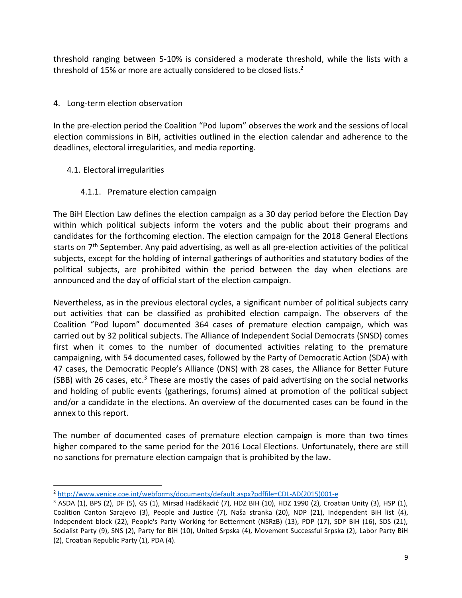threshold ranging between 5-10% is considered a moderate threshold, while the lists with a threshold of 15% or more are actually considered to be closed lists.<sup>2</sup>

## 4. Long-term election observation

In the pre-election period the Coalition "Pod lupom" observes the work and the sessions of local election commissions in BiH, activities outlined in the election calendar and adherence to the deadlines, electoral irregularities, and media reporting.

## 4.1. Electoral irregularities

 $\overline{a}$ 

## 4.1.1. Premature election campaign

The BiH Election Law defines the election campaign as a 30 day period before the Election Day within which political subjects inform the voters and the public about their programs and candidates for the forthcoming election. The election campaign for the 2018 General Elections starts on 7<sup>th</sup> September. Any paid advertising, as well as all pre-election activities of the political subjects, except for the holding of internal gatherings of authorities and statutory bodies of the political subjects, are prohibited within the period between the day when elections are announced and the day of official start of the election campaign.

Nevertheless, as in the previous electoral cycles, a significant number of political subjects carry out activities that can be classified as prohibited election campaign. The observers of the Coalition "Pod lupom" documented 364 cases of premature election campaign, which was carried out by 32 political subjects. The Alliance of Independent Social Democrats (SNSD) comes first when it comes to the number of documented activities relating to the premature campaigning, with 54 documented cases, followed by the Party of Democratic Action (SDA) with 47 cases, the Democratic People's Alliance (DNS) with 28 cases, the Alliance for Better Future (SBB) with 26 cases, etc.<sup>3</sup> These are mostly the cases of paid advertising on the social networks and holding of public events (gatherings, forums) aimed at promotion of the political subject and/or a candidate in the elections. An overview of the documented cases can be found in the annex to this report.

The number of documented cases of premature election campaign is more than two times higher compared to the same period for the 2016 Local Elections. Unfortunately, there are still no sanctions for premature election campaign that is prohibited by the law.

<sup>2</sup> [http://www.venice.coe.int/webforms/documents/default.aspx?pdffile=CDL-AD\(2015\)001-e](http://www.venice.coe.int/webforms/documents/default.aspx?pdffile=CDL-AD(2015)001-e)

<sup>3</sup> ASDA (1), BPS (2), DF (5), GS (1), Mirsad Hadžikadić (7), HDZ BIH (10), HDZ 1990 (2), Croatian Unity (3), HSP (1), Coalition Canton Sarajevo (3), People and Justice (7), Naša stranka (20), NDP (21), Independent BiH list (4), Independent block (22), People's Party Working for Betterment (NSRzB) (13), PDP (17), SDP BiH (16), SDS (21), Socialist Party (9), SNS (2), Party for BiH (10), United Srpska (4), Movement Successful Srpska (2), Labor Party BiH (2), Croatian Republic Party (1), PDA (4).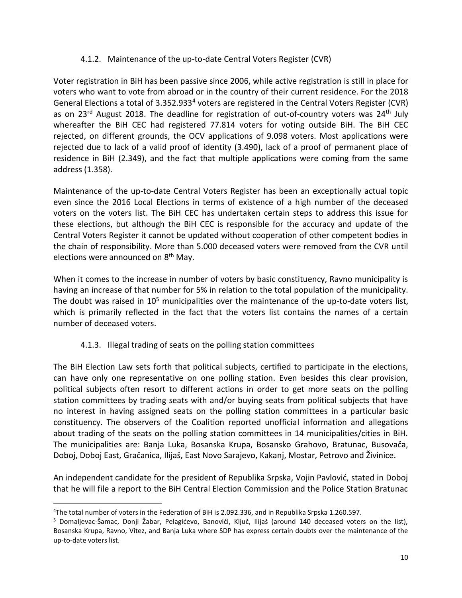#### 4.1.2. Maintenance of the up-to-date Central Voters Register (CVR)

Voter registration in BiH has been passive since 2006, while active registration is still in place for voters who want to vote from abroad or in the country of their current residence. For the 2018 General Elections a total of 3.352.933<sup>4</sup> voters are registered in the Central Voters Register (CVR) as on 23<sup>rd</sup> August 2018. The deadline for registration of out-of-country voters was 24<sup>th</sup> July whereafter the BiH CEC had registered 77.814 voters for voting outside BiH. The BiH CEC rejected, on different grounds, the OCV applications of 9.098 voters. Most applications were rejected due to lack of a valid proof of identity (3.490), lack of a proof of permanent place of residence in BiH (2.349), and the fact that multiple applications were coming from the same address (1.358).

Maintenance of the up-to-date Central Voters Register has been an exceptionally actual topic even since the 2016 Local Elections in terms of existence of a high number of the deceased voters on the voters list. The BiH CEC has undertaken certain steps to address this issue for these elections, but although the BiH CEC is responsible for the accuracy and update of the Central Voters Register it cannot be updated without cooperation of other competent bodies in the chain of responsibility. More than 5.000 deceased voters were removed from the CVR until elections were announced on 8<sup>th</sup> May.

When it comes to the increase in number of voters by basic constituency, Ravno municipality is having an increase of that number for 5% in relation to the total population of the municipality. The doubt was raised in  $10<sup>5</sup>$  municipalities over the maintenance of the up-to-date voters list, which is primarily reflected in the fact that the voters list contains the names of a certain number of deceased voters.

## 4.1.3. Illegal trading of seats on the polling station committees

The BiH Election Law sets forth that political subjects, certified to participate in the elections, can have only one representative on one polling station. Even besides this clear provision, political subjects often resort to different actions in order to get more seats on the polling station committees by trading seats with and/or buying seats from political subjects that have no interest in having assigned seats on the polling station committees in a particular basic constituency. The observers of the Coalition reported unofficial information and allegations about trading of the seats on the polling station committees in 14 municipalities/cities in BiH. The municipalities are: Banja Luka, Bosanska Krupa, Bosansko Grahovo, Bratunac, Busovača, Doboj, Doboj East, Gračanica, Ilijaš, East Novo Sarajevo, Kakanj, Mostar, Petrovo and Živinice.

An independent candidate for the president of Republika Srpska, Vojin Pavlović, stated in Doboj that he will file a report to the BiH Central Election Commission and the Police Station Bratunac

 $\overline{a}$ 

<sup>4</sup>The total number of voters in the Federation of BiH is 2.092.336, and in Republika Srpska 1.260.597.

<sup>5</sup> Domaljevac-Šamac, Donji Žabar, Pelagićevo, Banovići, Ključ, Ilijaš (around 140 deceased voters on the list), Bosanska Krupa, Ravno, Vitez, and Banja Luka where SDP has express certain doubts over the maintenance of the up-to-date voters list.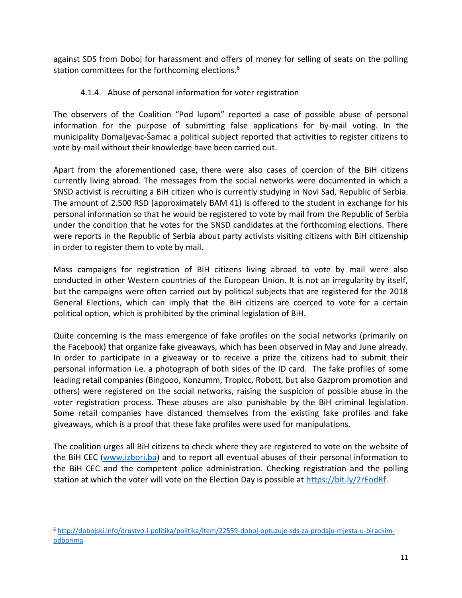against SDS from Doboj for harassment and offers of money for selling of seats on the polling station committees for the forthcoming elections. 6

#### 4.1.4. Abuse of personal information for voter registration

The observers of the Coalition "Pod lupom" reported a case of possible abuse of personal information for the purpose of submitting false applications for by-mail voting. In the municipality Domaljevac-Šamac a political subject reported that activities to register citizens to vote by-mail without their knowledge have been carried out.

Apart from the aforementioned case, there were also cases of coercion of the BiH citizens currently living abroad. The messages from the social networks were documented in which a SNSD activist is recruiting a BiH citizen who is currently studying in Novi Sad, Republic of Serbia. The amount of 2.500 RSD (approximately BAM 41) is offered to the student in exchange for his personal information so that he would be registered to vote by mail from the Republic of Serbia under the condition that he votes for the SNSD candidates at the forthcoming elections. There were reports in the Republic of Serbia about party activists visiting citizens with BiH citizenship in order to register them to vote by mail.

Mass campaigns for registration of BiH citizens living abroad to vote by mail were also conducted in other Western countries of the European Union. It is not an irregularity by itself, but the campaigns were often carried out by political subjects that are registered for the 2018 General Elections, which can imply that the BiH citizens are coerced to vote for a certain political option, which is prohibited by the criminal legislation of BiH.

Quite concerning is the mass emergence of fake profiles on the social networks (primarily on the Facebook) that organize fake giveaways, which has been observed in May and June already. In order to participate in a giveaway or to receive a prize the citizens had to submit their personal information i.e. a photograph of both sides of the ID card. The fake profiles of some leading retail companies (Bingooo, Konzumm, Tropicc, Robott, but also Gazprom promotion and others) were registered on the social networks, raising the suspicion of possible abuse in the voter registration process. These abuses are also punishable by the BiH criminal legislation. Some retail companies have distanced themselves from the existing fake profiles and fake giveaways, which is a proof that these fake profiles were used for manipulations.

The coalition urges all BiH citizens to check where they are registered to vote on the website of the BiH CEC [\(www.izbori.ba\)](http://www.izbori.ba/) and to report all eventual abuses of their personal information to the BiH CEC and the competent police administration. Checking registration and the polling station at which the voter will vote on the Election Day is possible at [https://bit.ly/2rEodRf.](https://bit.ly/2rEodRf)

 $\overline{a}$ 

<sup>6</sup> [http://dobojski.info/drustvo-i-politika/politika/item/22559-doboj-optuzuje-sds-za-prodaju-mjesta-u-birackim](http://dobojski.info/drustvo-i-politika/politika/item/22559-doboj-optuzuje-sds-za-prodaju-mjesta-u-birackim-odborima)[odborima](http://dobojski.info/drustvo-i-politika/politika/item/22559-doboj-optuzuje-sds-za-prodaju-mjesta-u-birackim-odborima)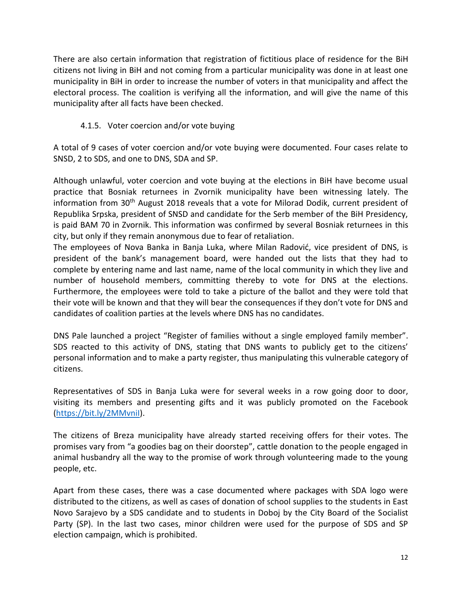There are also certain information that registration of fictitious place of residence for the BiH citizens not living in BiH and not coming from a particular municipality was done in at least one municipality in BiH in order to increase the number of voters in that municipality and affect the electoral process. The coalition is verifying all the information, and will give the name of this municipality after all facts have been checked.

## 4.1.5. Voter coercion and/or vote buying

A total of 9 cases of voter coercion and/or vote buying were documented. Four cases relate to SNSD, 2 to SDS, and one to DNS, SDA and SP.

Although unlawful, voter coercion and vote buying at the elections in BiH have become usual practice that Bosniak returnees in Zvornik municipality have been witnessing lately. The information from 30th August 2018 reveals that a vote for Milorad Dodik, current president of Republika Srpska, president of SNSD and candidate for the Serb member of the BiH Presidency, is paid BAM 70 in Zvornik. This information was confirmed by several Bosniak returnees in this city, but only if they remain anonymous due to fear of retaliation.

The employees of Nova Banka in Banja Luka, where Milan Radović, vice president of DNS, is president of the bank's management board, were handed out the lists that they had to complete by entering name and last name, name of the local community in which they live and number of household members, committing thereby to vote for DNS at the elections. Furthermore, the employees were told to take a picture of the ballot and they were told that their vote will be known and that they will bear the consequences if they don't vote for DNS and candidates of coalition parties at the levels where DNS has no candidates.

DNS Pale launched a project "Register of families without a single employed family member". SDS reacted to this activity of DNS, stating that DNS wants to publicly get to the citizens' personal information and to make a party register, thus manipulating this vulnerable category of citizens.

Representatives of SDS in Banja Luka were for several weeks in a row going door to door, visiting its members and presenting gifts and it was publicly promoted on the Facebook [\(https://bit.ly/2MMvniI\)](https://bit.ly/2MMvniI).

The citizens of Breza municipality have already started receiving offers for their votes. The promises vary from "a goodies bag on their doorstep", cattle donation to the people engaged in animal husbandry all the way to the promise of work through volunteering made to the young people, etc.

Apart from these cases, there was a case documented where packages with SDA logo were distributed to the citizens, as well as cases of donation of school supplies to the students in East Novo Sarajevo by a SDS candidate and to students in Doboj by the City Board of the Socialist Party (SP). In the last two cases, minor children were used for the purpose of SDS and SP election campaign, which is prohibited.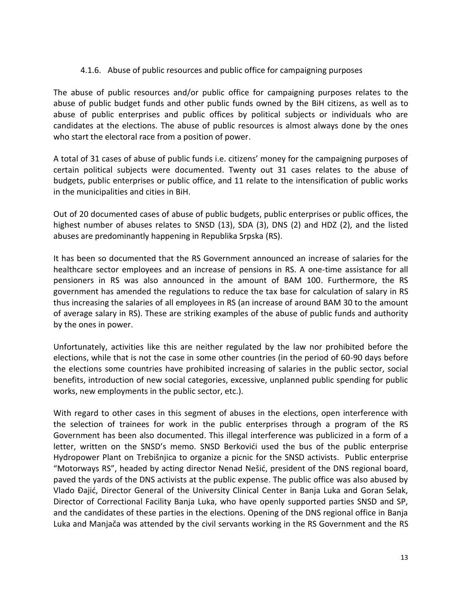#### 4.1.6. Abuse of public resources and public office for campaigning purposes

The abuse of public resources and/or public office for campaigning purposes relates to the abuse of public budget funds and other public funds owned by the BiH citizens, as well as to abuse of public enterprises and public offices by political subjects or individuals who are candidates at the elections. The abuse of public resources is almost always done by the ones who start the electoral race from a position of power.

A total of 31 cases of abuse of public funds i.e. citizens' money for the campaigning purposes of certain political subjects were documented. Twenty out 31 cases relates to the abuse of budgets, public enterprises or public office, and 11 relate to the intensification of public works in the municipalities and cities in BiH.

Out of 20 documented cases of abuse of public budgets, public enterprises or public offices, the highest number of abuses relates to SNSD (13), SDA (3), DNS (2) and HDZ (2), and the listed abuses are predominantly happening in Republika Srpska (RS).

It has been so documented that the RS Government announced an increase of salaries for the healthcare sector employees and an increase of pensions in RS. A one-time assistance for all pensioners in RS was also announced in the amount of BAM 100. Furthermore, the RS government has amended the regulations to reduce the tax base for calculation of salary in RS thus increasing the salaries of all employees in RS (an increase of around BAM 30 to the amount of average salary in RS). These are striking examples of the abuse of public funds and authority by the ones in power.

Unfortunately, activities like this are neither regulated by the law nor prohibited before the elections, while that is not the case in some other countries (in the period of 60-90 days before the elections some countries have prohibited increasing of salaries in the public sector, social benefits, introduction of new social categories, excessive, unplanned public spending for public works, new employments in the public sector, etc.).

With regard to other cases in this segment of abuses in the elections, open interference with the selection of trainees for work in the public enterprises through a program of the RS Government has been also documented. This illegal interference was publicized in a form of a letter, written on the SNSD's memo. SNSD Berkovići used the bus of the public enterprise Hydropower Plant on Trebišnjica to organize a picnic for the SNSD activists. Public enterprise "Motorways RS", headed by acting director Nenad Nešić, president of the DNS regional board, paved the yards of the DNS activists at the public expense. The public office was also abused by Vlado Đajić, Director General of the University Clinical Center in Banja Luka and Goran Selak, Director of Correctional Facility Banja Luka, who have openly supported parties SNSD and SP, and the candidates of these parties in the elections. Opening of the DNS regional office in Banja Luka and Manjača was attended by the civil servants working in the RS Government and the RS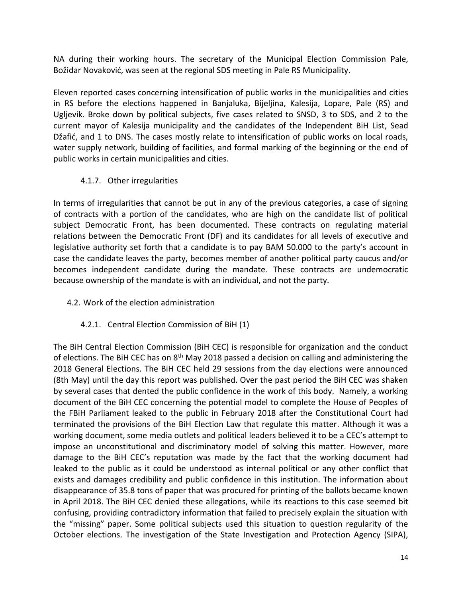NA during their working hours. The secretary of the Municipal Election Commission Pale, Božidar Novaković, was seen at the regional SDS meeting in Pale RS Municipality.

Eleven reported cases concerning intensification of public works in the municipalities and cities in RS before the elections happened in Banjaluka, Bijeljina, Kalesija, Lopare, Pale (RS) and Ugljevik. Broke down by political subjects, five cases related to SNSD, 3 to SDS, and 2 to the current mayor of Kalesija municipality and the candidates of the Independent BiH List, Sead Džafić, and 1 to DNS. The cases mostly relate to intensification of public works on local roads, water supply network, building of facilities, and formal marking of the beginning or the end of public works in certain municipalities and cities.

## 4.1.7. Other irregularities

In terms of irregularities that cannot be put in any of the previous categories, a case of signing of contracts with a portion of the candidates, who are high on the candidate list of political subject Democratic Front, has been documented. These contracts on regulating material relations between the Democratic Front (DF) and its candidates for all levels of executive and legislative authority set forth that a candidate is to pay BAM 50.000 to the party's account in case the candidate leaves the party, becomes member of another political party caucus and/or becomes independent candidate during the mandate. These contracts are undemocratic because ownership of the mandate is with an individual, and not the party.

4.2. Work of the election administration

## 4.2.1. Central Election Commission of BiH (1)

The BiH Central Election Commission (BiH CEC) is responsible for organization and the conduct of elections. The BiH CEC has on 8<sup>th</sup> May 2018 passed a decision on calling and administering the 2018 General Elections. The BiH CEC held 29 sessions from the day elections were announced (8th May) until the day this report was published. Over the past period the BiH CEC was shaken by several cases that dented the public confidence in the work of this body. Namely, a working document of the BiH CEC concerning the potential model to complete the House of Peoples of the FBiH Parliament leaked to the public in February 2018 after the Constitutional Court had terminated the provisions of the BiH Election Law that regulate this matter. Although it was a working document, some media outlets and political leaders believed it to be a CEC's attempt to impose an unconstitutional and discriminatory model of solving this matter. However, more damage to the BiH CEC's reputation was made by the fact that the working document had leaked to the public as it could be understood as internal political or any other conflict that exists and damages credibility and public confidence in this institution. The information about disappearance of 35.8 tons of paper that was procured for printing of the ballots became known in April 2018. The BiH CEC denied these allegations, while its reactions to this case seemed bit confusing, providing contradictory information that failed to precisely explain the situation with the "missing" paper. Some political subjects used this situation to question regularity of the October elections. The investigation of the State Investigation and Protection Agency (SIPA),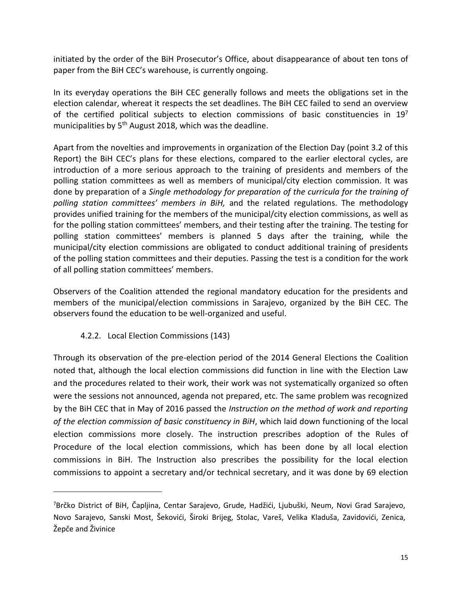initiated by the order of the BiH Prosecutor's Office, about disappearance of about ten tons of paper from the BiH CEC's warehouse, is currently ongoing.

In its everyday operations the BiH CEC generally follows and meets the obligations set in the election calendar, whereat it respects the set deadlines. The BiH CEC failed to send an overview of the certified political subjects to election commissions of basic constituencies in  $19<sup>7</sup>$ municipalities by  $5<sup>th</sup>$  August 2018, which was the deadline.

Apart from the novelties and improvements in organization of the Election Day (point 3.2 of this Report) the BiH CEC's plans for these elections, compared to the earlier electoral cycles, are introduction of a more serious approach to the training of presidents and members of the polling station committees as well as members of municipal/city election commission. It was done by preparation of a *Single methodology for preparation of the curricula for the training of polling station committees' members in BiH,* and the related regulations. The methodology provides unified training for the members of the municipal/city election commissions, as well as for the polling station committees' members, and their testing after the training. The testing for polling station committees' members is planned 5 days after the training, while the municipal/city election commissions are obligated to conduct additional training of presidents of the polling station committees and their deputies. Passing the test is a condition for the work of all polling station committees' members.

Observers of the Coalition attended the regional mandatory education for the presidents and members of the municipal/election commissions in Sarajevo, organized by the BiH CEC. The observers found the education to be well-organized and useful.

#### 4.2.2. Local Election Commissions (143)

 $\overline{a}$ 

Through its observation of the pre-election period of the 2014 General Elections the Coalition noted that, although the local election commissions did function in line with the Election Law and the procedures related to their work, their work was not systematically organized so often were the sessions not announced, agenda not prepared, etc. The same problem was recognized by the BiH CEC that in May of 2016 passed the *Instruction on the method of work and reporting of the election commission of basic constituency in BiH*, which laid down functioning of the local election commissions more closely. The instruction prescribes adoption of the Rules of Procedure of the local election commissions, which has been done by all local election commissions in BiH. The Instruction also prescribes the possibility for the local election commissions to appoint a secretary and/or technical secretary, and it was done by 69 election

<sup>7</sup>Brčko District of BiH, Čapljina, Centar Sarajevo, Grude, Hadžići, Ljubuški, Neum, Novi Grad Sarajevo, Novo Sarajevo, Sanski Most, Šekovići, Široki Brijeg, Stolac, Vareš, Velika Kladuša, Zavidovići, Zenica, Žepče and Živinice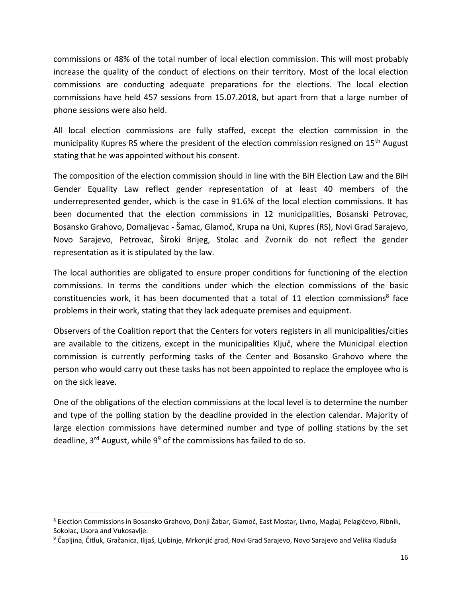commissions or 48% of the total number of local election commission. This will most probably increase the quality of the conduct of elections on their territory. Most of the local election commissions are conducting adequate preparations for the elections. The local election commissions have held 457 sessions from 15.07.2018, but apart from that a large number of phone sessions were also held.

All local election commissions are fully staffed, except the election commission in the municipality Kupres RS where the president of the election commission resigned on  $15<sup>th</sup>$  August stating that he was appointed without his consent.

The composition of the election commission should in line with the BiH Election Law and the BiH Gender Equality Law reflect gender representation of at least 40 members of the underrepresented gender, which is the case in 91.6% of the local election commissions. It has been documented that the election commissions in 12 municipalities, Bosanski Petrovac, Bosansko Grahovo, Domaljevac - Šamac, Glamoč, Krupa na Uni, Kupres (RS), Novi Grad Sarajevo, Novo Sarajevo, Petrovac, Široki Brijeg, Stolac and Zvornik do not reflect the gender representation as it is stipulated by the law.

The local authorities are obligated to ensure proper conditions for functioning of the election commissions. In terms the conditions under which the election commissions of the basic constituencies work, it has been documented that a total of 11 election commissions<sup>8</sup> face problems in their work, stating that they lack adequate premises and equipment.

Observers of the Coalition report that the Centers for voters registers in all municipalities/cities are available to the citizens, except in the municipalities Ključ, where the Municipal election commission is currently performing tasks of the Center and Bosansko Grahovo where the person who would carry out these tasks has not been appointed to replace the employee who is on the sick leave.

One of the obligations of the election commissions at the local level is to determine the number and type of the polling station by the deadline provided in the election calendar. Majority of large election commissions have determined number and type of polling stations by the set deadline,  $3^{rd}$  August, while  $9^9$  of the commissions has failed to do so.

 $\overline{a}$ 

<sup>8</sup> Election Commissions in Bosansko Grahovo, Donji Žabar, Glamoč, East Mostar, Livno, Maglaj, Pelagićevo, Ribnik, Sokolac, Usora and Vukosavlje.

 $9$  Čapljina, Čitluk, Gračanica, Ilijaš, Ljubinje, Mrkonjić grad, Novi Grad Sarajevo, Novo Sarajevo and Velika Kladuša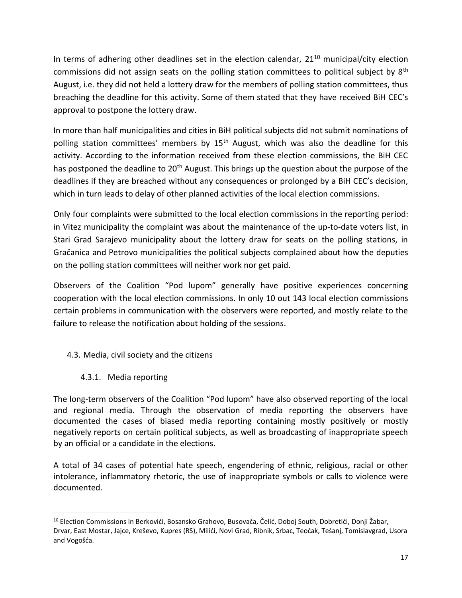In terms of adhering other deadlines set in the election calendar,  $21^{10}$  municipal/city election commissions did not assign seats on the polling station committees to political subject by  $8<sup>th</sup>$ August, i.e. they did not held a lottery draw for the members of polling station committees, thus breaching the deadline for this activity. Some of them stated that they have received BiH CEC's approval to postpone the lottery draw.

In more than half municipalities and cities in BiH political subjects did not submit nominations of polling station committees' members by 15<sup>th</sup> August, which was also the deadline for this activity. According to the information received from these election commissions, the BiH CEC has postponed the deadline to 20<sup>th</sup> August. This brings up the question about the purpose of the deadlines if they are breached without any consequences or prolonged by a BiH CEC's decision, which in turn leads to delay of other planned activities of the local election commissions.

Only four complaints were submitted to the local election commissions in the reporting period: in Vitez municipality the complaint was about the maintenance of the up-to-date voters list, in Stari Grad Sarajevo municipality about the lottery draw for seats on the polling stations, in Gračanica and Petrovo municipalities the political subjects complained about how the deputies on the polling station committees will neither work nor get paid.

Observers of the Coalition "Pod lupom" generally have positive experiences concerning cooperation with the local election commissions. In only 10 out 143 local election commissions certain problems in communication with the observers were reported, and mostly relate to the failure to release the notification about holding of the sessions.

- 4.3. Media, civil society and the citizens
	- 4.3.1. Media reporting

 $\overline{a}$ 

The long-term observers of the Coalition "Pod lupom" have also observed reporting of the local and regional media. Through the observation of media reporting the observers have documented the cases of biased media reporting containing mostly positively or mostly negatively reports on certain political subjects, as well as broadcasting of inappropriate speech by an official or a candidate in the elections.

A total of 34 cases of potential hate speech, engendering of ethnic, religious, racial or other intolerance, inflammatory rhetoric, the use of inappropriate symbols or calls to violence were documented.

<sup>&</sup>lt;sup>10</sup> Election Commissions in Berkovići, Bosansko Grahovo, Busovača, Čelić, Doboj South, Dobretići, Donji Žabar, Drvar, East Mostar, Jajce, Kreševo, Kupres (RS), Milići, Novi Grad, Ribnik, Srbac, Teočak, Tešanj, Tomislavgrad, Usora and Vogošća.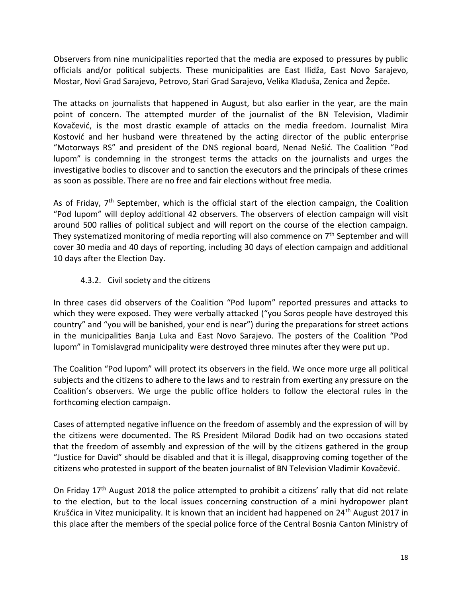Observers from nine municipalities reported that the media are exposed to pressures by public officials and/or political subjects. These municipalities are East Ilidža, East Novo Sarajevo, Mostar, Novi Grad Sarajevo, Petrovo, Stari Grad Sarajevo, Velika Kladuša, Zenica and Žepče.

The attacks on journalists that happened in August, but also earlier in the year, are the main point of concern. The attempted murder of the journalist of the BN Television, Vladimir Kovačević, is the most drastic example of attacks on the media freedom. Journalist Mira Kostović and her husband were threatened by the acting director of the public enterprise "Motorways RS" and president of the DNS regional board, Nenad Nešić. The Coalition "Pod lupom" is condemning in the strongest terms the attacks on the journalists and urges the investigative bodies to discover and to sanction the executors and the principals of these crimes as soon as possible. There are no free and fair elections without free media.

As of Friday, 7<sup>th</sup> September, which is the official start of the election campaign, the Coalition "Pod lupom" will deploy additional 42 observers. The observers of election campaign will visit around 500 rallies of political subject and will report on the course of the election campaign. They systematized monitoring of media reporting will also commence on  $7<sup>th</sup>$  September and will cover 30 media and 40 days of reporting, including 30 days of election campaign and additional 10 days after the Election Day.

# 4.3.2. Civil society and the citizens

In three cases did observers of the Coalition "Pod lupom" reported pressures and attacks to which they were exposed. They were verbally attacked ("you Soros people have destroyed this country" and "you will be banished, your end is near") during the preparations for street actions in the municipalities Banja Luka and East Novo Sarajevo. The posters of the Coalition "Pod lupom" in Tomislavgrad municipality were destroyed three minutes after they were put up.

The Coalition "Pod lupom" will protect its observers in the field. We once more urge all political subjects and the citizens to adhere to the laws and to restrain from exerting any pressure on the Coalition's observers. We urge the public office holders to follow the electoral rules in the forthcoming election campaign.

Cases of attempted negative influence on the freedom of assembly and the expression of will by the citizens were documented. The RS President Milorad Dodik had on two occasions stated that the freedom of assembly and expression of the will by the citizens gathered in the group "Justice for David" should be disabled and that it is illegal, disapproving coming together of the citizens who protested in support of the beaten journalist of BN Television Vladimir Kovačević.

On Friday 17<sup>th</sup> August 2018 the police attempted to prohibit a citizens' rally that did not relate to the election, but to the local issues concerning construction of a mini hydropower plant Krušćica in Vitez municipality. It is known that an incident had happened on 24<sup>th</sup> August 2017 in this place after the members of the special police force of the Central Bosnia Canton Ministry of